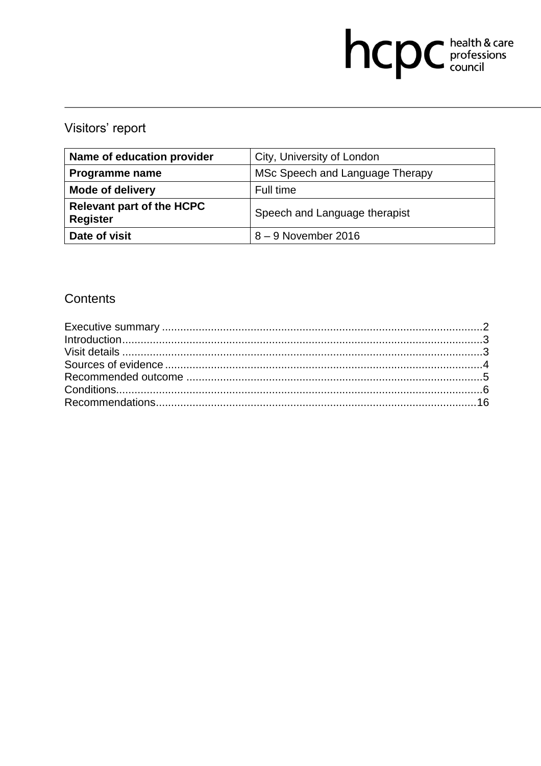# hcpc health & care

## Visitors' report

| Name of education provider                          | City, University of London      |
|-----------------------------------------------------|---------------------------------|
| <b>Programme name</b>                               | MSc Speech and Language Therapy |
| <b>Mode of delivery</b>                             | Full time                       |
| <b>Relevant part of the HCPC</b><br><b>Register</b> | Speech and Language therapist   |
| Date of visit                                       | 8 - 9 November 2016             |

## Contents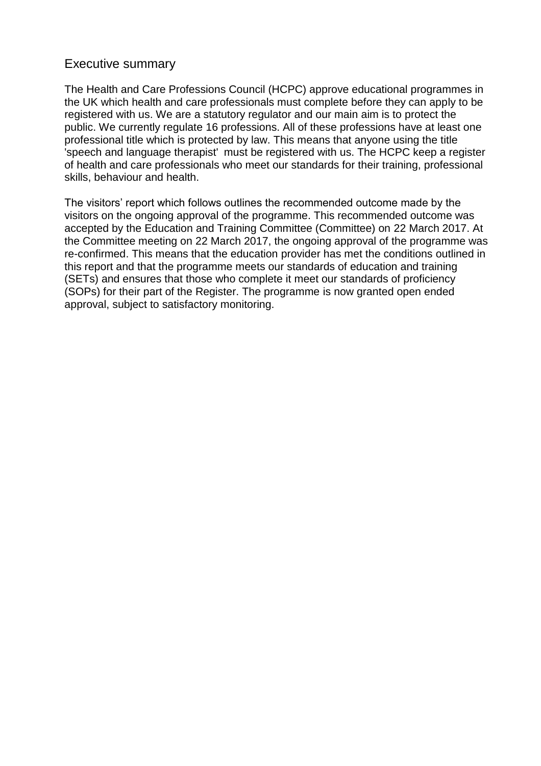#### Executive summary

The Health and Care Professions Council (HCPC) approve educational programmes in the UK which health and care professionals must complete before they can apply to be registered with us. We are a statutory regulator and our main aim is to protect the public. We currently regulate 16 professions. All of these professions have at least one professional title which is protected by law. This means that anyone using the title 'speech and language therapist' must be registered with us. The HCPC keep a register of health and care professionals who meet our standards for their training, professional skills, behaviour and health.

The visitors' report which follows outlines the recommended outcome made by the visitors on the ongoing approval of the programme. This recommended outcome was accepted by the Education and Training Committee (Committee) on 22 March 2017. At the Committee meeting on 22 March 2017, the ongoing approval of the programme was re-confirmed. This means that the education provider has met the conditions outlined in this report and that the programme meets our standards of education and training (SETs) and ensures that those who complete it meet our standards of proficiency (SOPs) for their part of the Register. The programme is now granted open ended approval, subject to satisfactory monitoring.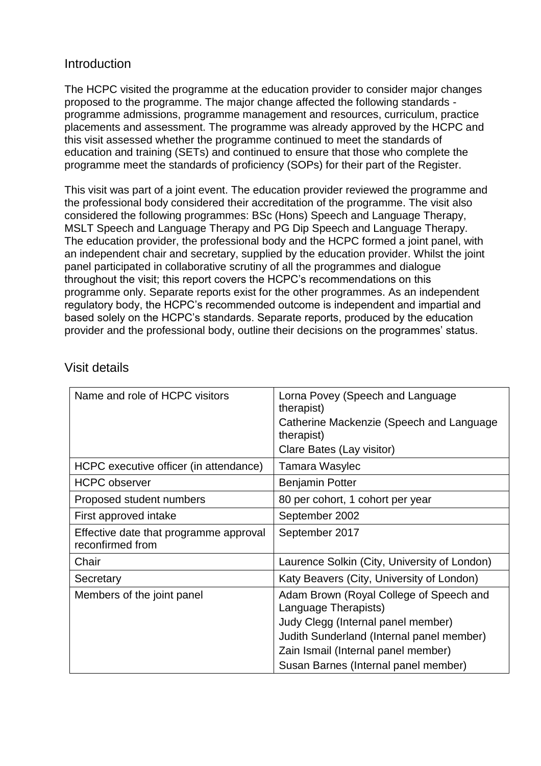### **Introduction**

The HCPC visited the programme at the education provider to consider major changes proposed to the programme. The major change affected the following standards programme admissions, programme management and resources, curriculum, practice placements and assessment. The programme was already approved by the HCPC and this visit assessed whether the programme continued to meet the standards of education and training (SETs) and continued to ensure that those who complete the programme meet the standards of proficiency (SOPs) for their part of the Register.

This visit was part of a joint event. The education provider reviewed the programme and the professional body considered their accreditation of the programme. The visit also considered the following programmes: BSc (Hons) Speech and Language Therapy, MSLT Speech and Language Therapy and PG Dip Speech and Language Therapy. The education provider, the professional body and the HCPC formed a joint panel, with an independent chair and secretary, supplied by the education provider. Whilst the joint panel participated in collaborative scrutiny of all the programmes and dialogue throughout the visit; this report covers the HCPC's recommendations on this programme only. Separate reports exist for the other programmes. As an independent regulatory body, the HCPC's recommended outcome is independent and impartial and based solely on the HCPC's standards. Separate reports, produced by the education provider and the professional body, outline their decisions on the programmes' status.

| Name and role of HCPC visitors                             | Lorna Povey (Speech and Language<br>therapist)                  |  |  |
|------------------------------------------------------------|-----------------------------------------------------------------|--|--|
|                                                            | Catherine Mackenzie (Speech and Language<br>therapist)          |  |  |
|                                                            | Clare Bates (Lay visitor)                                       |  |  |
| HCPC executive officer (in attendance)                     | Tamara Wasylec                                                  |  |  |
| <b>HCPC</b> observer                                       | <b>Benjamin Potter</b>                                          |  |  |
| Proposed student numbers                                   | 80 per cohort, 1 cohort per year                                |  |  |
| First approved intake                                      | September 2002                                                  |  |  |
| Effective date that programme approval<br>reconfirmed from | September 2017                                                  |  |  |
| Chair                                                      | Laurence Solkin (City, University of London)                    |  |  |
| Secretary                                                  | Katy Beavers (City, University of London)                       |  |  |
| Members of the joint panel                                 | Adam Brown (Royal College of Speech and<br>Language Therapists) |  |  |
|                                                            | Judy Clegg (Internal panel member)                              |  |  |
|                                                            | Judith Sunderland (Internal panel member)                       |  |  |
|                                                            | Zain Ismail (Internal panel member)                             |  |  |
|                                                            | Susan Barnes (Internal panel member)                            |  |  |

## Visit details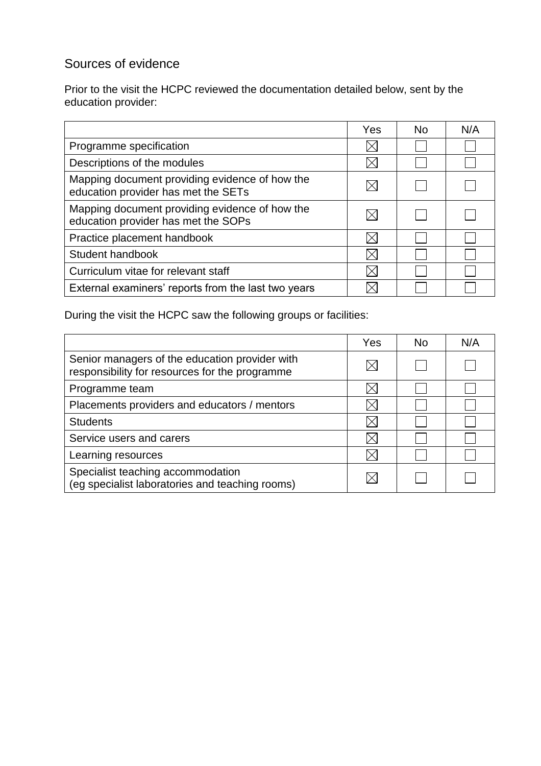## Sources of evidence

Prior to the visit the HCPC reviewed the documentation detailed below, sent by the education provider:

|                                                                                       | Yes | No. | N/A |
|---------------------------------------------------------------------------------------|-----|-----|-----|
| Programme specification                                                               |     |     |     |
| Descriptions of the modules                                                           |     |     |     |
| Mapping document providing evidence of how the<br>education provider has met the SETs |     |     |     |
| Mapping document providing evidence of how the<br>education provider has met the SOPs |     |     |     |
| Practice placement handbook                                                           |     |     |     |
| Student handbook                                                                      |     |     |     |
| Curriculum vitae for relevant staff                                                   |     |     |     |
| External examiners' reports from the last two years                                   |     |     |     |

During the visit the HCPC saw the following groups or facilities:

|                                                                                                  | Yes | No. | N/A |
|--------------------------------------------------------------------------------------------------|-----|-----|-----|
| Senior managers of the education provider with<br>responsibility for resources for the programme |     |     |     |
| Programme team                                                                                   |     |     |     |
| Placements providers and educators / mentors                                                     |     |     |     |
| <b>Students</b>                                                                                  |     |     |     |
| Service users and carers                                                                         |     |     |     |
| Learning resources                                                                               |     |     |     |
| Specialist teaching accommodation<br>(eg specialist laboratories and teaching rooms)             |     |     |     |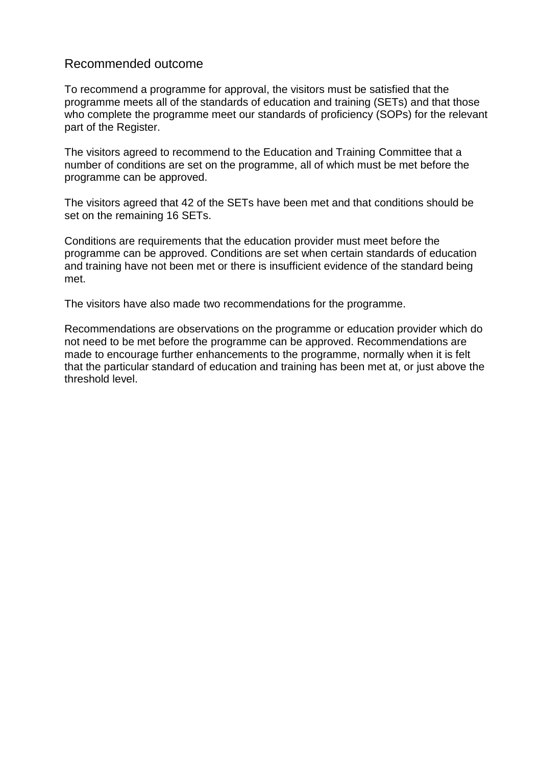#### Recommended outcome

To recommend a programme for approval, the visitors must be satisfied that the programme meets all of the standards of education and training (SETs) and that those who complete the programme meet our standards of proficiency (SOPs) for the relevant part of the Register.

The visitors agreed to recommend to the Education and Training Committee that a number of conditions are set on the programme, all of which must be met before the programme can be approved.

The visitors agreed that 42 of the SETs have been met and that conditions should be set on the remaining 16 SETs.

Conditions are requirements that the education provider must meet before the programme can be approved. Conditions are set when certain standards of education and training have not been met or there is insufficient evidence of the standard being met.

The visitors have also made two recommendations for the programme.

Recommendations are observations on the programme or education provider which do not need to be met before the programme can be approved. Recommendations are made to encourage further enhancements to the programme, normally when it is felt that the particular standard of education and training has been met at, or just above the threshold level.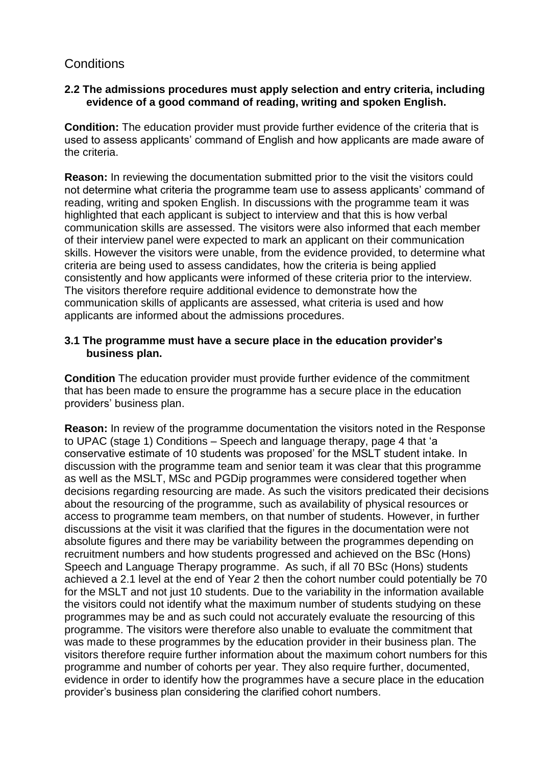## **Conditions**

#### **2.2 The admissions procedures must apply selection and entry criteria, including evidence of a good command of reading, writing and spoken English.**

**Condition:** The education provider must provide further evidence of the criteria that is used to assess applicants' command of English and how applicants are made aware of the criteria.

**Reason:** In reviewing the documentation submitted prior to the visit the visitors could not determine what criteria the programme team use to assess applicants' command of reading, writing and spoken English. In discussions with the programme team it was highlighted that each applicant is subject to interview and that this is how verbal communication skills are assessed. The visitors were also informed that each member of their interview panel were expected to mark an applicant on their communication skills. However the visitors were unable, from the evidence provided, to determine what criteria are being used to assess candidates, how the criteria is being applied consistently and how applicants were informed of these criteria prior to the interview. The visitors therefore require additional evidence to demonstrate how the communication skills of applicants are assessed, what criteria is used and how applicants are informed about the admissions procedures.

#### **3.1 The programme must have a secure place in the education provider's business plan.**

**Condition** The education provider must provide further evidence of the commitment that has been made to ensure the programme has a secure place in the education providers' business plan.

**Reason:** In review of the programme documentation the visitors noted in the Response to UPAC (stage 1) Conditions – Speech and language therapy, page 4 that 'a conservative estimate of 10 students was proposed' for the MSLT student intake. In discussion with the programme team and senior team it was clear that this programme as well as the MSLT, MSc and PGDip programmes were considered together when decisions regarding resourcing are made. As such the visitors predicated their decisions about the resourcing of the programme, such as availability of physical resources or access to programme team members, on that number of students. However, in further discussions at the visit it was clarified that the figures in the documentation were not absolute figures and there may be variability between the programmes depending on recruitment numbers and how students progressed and achieved on the BSc (Hons) Speech and Language Therapy programme. As such, if all 70 BSc (Hons) students achieved a 2.1 level at the end of Year 2 then the cohort number could potentially be 70 for the MSLT and not just 10 students. Due to the variability in the information available the visitors could not identify what the maximum number of students studying on these programmes may be and as such could not accurately evaluate the resourcing of this programme. The visitors were therefore also unable to evaluate the commitment that was made to these programmes by the education provider in their business plan. The visitors therefore require further information about the maximum cohort numbers for this programme and number of cohorts per year. They also require further, documented, evidence in order to identify how the programmes have a secure place in the education provider's business plan considering the clarified cohort numbers.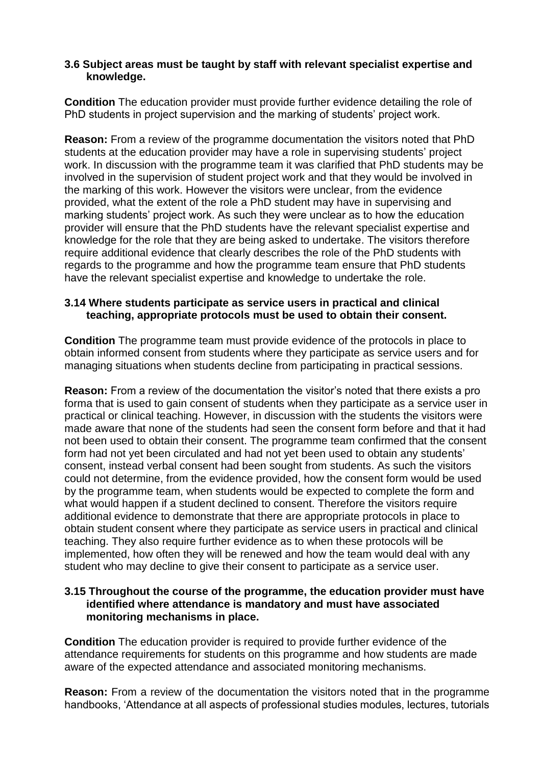#### **3.6 Subject areas must be taught by staff with relevant specialist expertise and knowledge.**

**Condition** The education provider must provide further evidence detailing the role of PhD students in project supervision and the marking of students' project work.

**Reason:** From a review of the programme documentation the visitors noted that PhD students at the education provider may have a role in supervising students' project work. In discussion with the programme team it was clarified that PhD students may be involved in the supervision of student project work and that they would be involved in the marking of this work. However the visitors were unclear, from the evidence provided, what the extent of the role a PhD student may have in supervising and marking students' project work. As such they were unclear as to how the education provider will ensure that the PhD students have the relevant specialist expertise and knowledge for the role that they are being asked to undertake. The visitors therefore require additional evidence that clearly describes the role of the PhD students with regards to the programme and how the programme team ensure that PhD students have the relevant specialist expertise and knowledge to undertake the role.

#### **3.14 Where students participate as service users in practical and clinical teaching, appropriate protocols must be used to obtain their consent.**

**Condition** The programme team must provide evidence of the protocols in place to obtain informed consent from students where they participate as service users and for managing situations when students decline from participating in practical sessions.

**Reason:** From a review of the documentation the visitor's noted that there exists a pro forma that is used to gain consent of students when they participate as a service user in practical or clinical teaching. However, in discussion with the students the visitors were made aware that none of the students had seen the consent form before and that it had not been used to obtain their consent. The programme team confirmed that the consent form had not yet been circulated and had not yet been used to obtain any students' consent, instead verbal consent had been sought from students. As such the visitors could not determine, from the evidence provided, how the consent form would be used by the programme team, when students would be expected to complete the form and what would happen if a student declined to consent. Therefore the visitors require additional evidence to demonstrate that there are appropriate protocols in place to obtain student consent where they participate as service users in practical and clinical teaching. They also require further evidence as to when these protocols will be implemented, how often they will be renewed and how the team would deal with any student who may decline to give their consent to participate as a service user.

#### **3.15 Throughout the course of the programme, the education provider must have identified where attendance is mandatory and must have associated monitoring mechanisms in place.**

**Condition** The education provider is required to provide further evidence of the attendance requirements for students on this programme and how students are made aware of the expected attendance and associated monitoring mechanisms.

**Reason:** From a review of the documentation the visitors noted that in the programme handbooks, 'Attendance at all aspects of professional studies modules, lectures, tutorials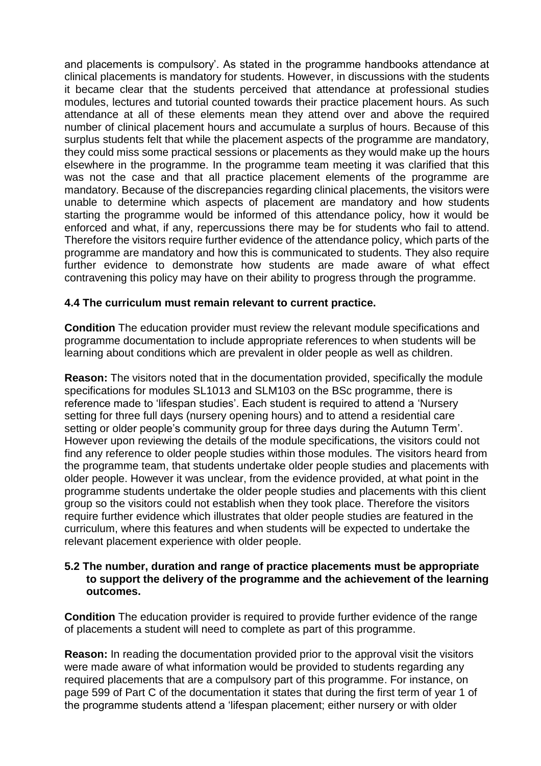and placements is compulsory'. As stated in the programme handbooks attendance at clinical placements is mandatory for students. However, in discussions with the students it became clear that the students perceived that attendance at professional studies modules, lectures and tutorial counted towards their practice placement hours. As such attendance at all of these elements mean they attend over and above the required number of clinical placement hours and accumulate a surplus of hours. Because of this surplus students felt that while the placement aspects of the programme are mandatory, they could miss some practical sessions or placements as they would make up the hours elsewhere in the programme. In the programme team meeting it was clarified that this was not the case and that all practice placement elements of the programme are mandatory. Because of the discrepancies regarding clinical placements, the visitors were unable to determine which aspects of placement are mandatory and how students starting the programme would be informed of this attendance policy, how it would be enforced and what, if any, repercussions there may be for students who fail to attend. Therefore the visitors require further evidence of the attendance policy, which parts of the programme are mandatory and how this is communicated to students. They also require further evidence to demonstrate how students are made aware of what effect contravening this policy may have on their ability to progress through the programme.

#### **4.4 The curriculum must remain relevant to current practice.**

**Condition** The education provider must review the relevant module specifications and programme documentation to include appropriate references to when students will be learning about conditions which are prevalent in older people as well as children.

**Reason:** The visitors noted that in the documentation provided, specifically the module specifications for modules SL1013 and SLM103 on the BSc programme, there is reference made to 'lifespan studies'. Each student is required to attend a 'Nursery setting for three full days (nursery opening hours) and to attend a residential care setting or older people's community group for three days during the Autumn Term'. However upon reviewing the details of the module specifications, the visitors could not find any reference to older people studies within those modules. The visitors heard from the programme team, that students undertake older people studies and placements with older people. However it was unclear, from the evidence provided, at what point in the programme students undertake the older people studies and placements with this client group so the visitors could not establish when they took place. Therefore the visitors require further evidence which illustrates that older people studies are featured in the curriculum, where this features and when students will be expected to undertake the relevant placement experience with older people.

#### **5.2 The number, duration and range of practice placements must be appropriate to support the delivery of the programme and the achievement of the learning outcomes.**

**Condition** The education provider is required to provide further evidence of the range of placements a student will need to complete as part of this programme.

**Reason:** In reading the documentation provided prior to the approval visit the visitors were made aware of what information would be provided to students regarding any required placements that are a compulsory part of this programme. For instance, on page 599 of Part C of the documentation it states that during the first term of year 1 of the programme students attend a 'lifespan placement; either nursery or with older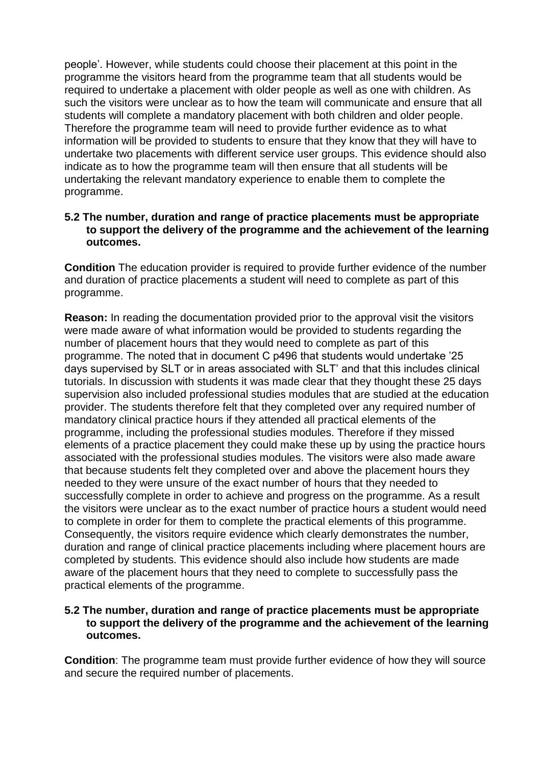people'. However, while students could choose their placement at this point in the programme the visitors heard from the programme team that all students would be required to undertake a placement with older people as well as one with children. As such the visitors were unclear as to how the team will communicate and ensure that all students will complete a mandatory placement with both children and older people. Therefore the programme team will need to provide further evidence as to what information will be provided to students to ensure that they know that they will have to undertake two placements with different service user groups. This evidence should also indicate as to how the programme team will then ensure that all students will be undertaking the relevant mandatory experience to enable them to complete the programme.

#### **5.2 The number, duration and range of practice placements must be appropriate to support the delivery of the programme and the achievement of the learning outcomes.**

**Condition** The education provider is required to provide further evidence of the number and duration of practice placements a student will need to complete as part of this programme.

**Reason:** In reading the documentation provided prior to the approval visit the visitors were made aware of what information would be provided to students regarding the number of placement hours that they would need to complete as part of this programme. The noted that in document C p496 that students would undertake '25 days supervised by SLT or in areas associated with SLT' and that this includes clinical tutorials. In discussion with students it was made clear that they thought these 25 days supervision also included professional studies modules that are studied at the education provider. The students therefore felt that they completed over any required number of mandatory clinical practice hours if they attended all practical elements of the programme, including the professional studies modules. Therefore if they missed elements of a practice placement they could make these up by using the practice hours associated with the professional studies modules. The visitors were also made aware that because students felt they completed over and above the placement hours they needed to they were unsure of the exact number of hours that they needed to successfully complete in order to achieve and progress on the programme. As a result the visitors were unclear as to the exact number of practice hours a student would need to complete in order for them to complete the practical elements of this programme. Consequently, the visitors require evidence which clearly demonstrates the number, duration and range of clinical practice placements including where placement hours are completed by students. This evidence should also include how students are made aware of the placement hours that they need to complete to successfully pass the practical elements of the programme.

#### **5.2 The number, duration and range of practice placements must be appropriate to support the delivery of the programme and the achievement of the learning outcomes.**

**Condition**: The programme team must provide further evidence of how they will source and secure the required number of placements.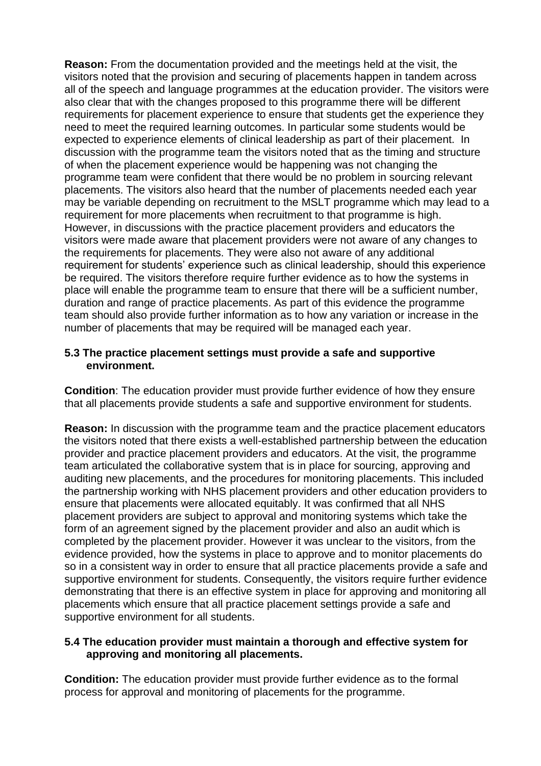**Reason:** From the documentation provided and the meetings held at the visit, the visitors noted that the provision and securing of placements happen in tandem across all of the speech and language programmes at the education provider. The visitors were also clear that with the changes proposed to this programme there will be different requirements for placement experience to ensure that students get the experience they need to meet the required learning outcomes. In particular some students would be expected to experience elements of clinical leadership as part of their placement. In discussion with the programme team the visitors noted that as the timing and structure of when the placement experience would be happening was not changing the programme team were confident that there would be no problem in sourcing relevant placements. The visitors also heard that the number of placements needed each year may be variable depending on recruitment to the MSLT programme which may lead to a requirement for more placements when recruitment to that programme is high. However, in discussions with the practice placement providers and educators the visitors were made aware that placement providers were not aware of any changes to the requirements for placements. They were also not aware of any additional requirement for students' experience such as clinical leadership, should this experience be required. The visitors therefore require further evidence as to how the systems in place will enable the programme team to ensure that there will be a sufficient number, duration and range of practice placements. As part of this evidence the programme team should also provide further information as to how any variation or increase in the number of placements that may be required will be managed each year.

#### **5.3 The practice placement settings must provide a safe and supportive environment.**

**Condition**: The education provider must provide further evidence of how they ensure that all placements provide students a safe and supportive environment for students.

**Reason:** In discussion with the programme team and the practice placement educators the visitors noted that there exists a well-established partnership between the education provider and practice placement providers and educators. At the visit, the programme team articulated the collaborative system that is in place for sourcing, approving and auditing new placements, and the procedures for monitoring placements. This included the partnership working with NHS placement providers and other education providers to ensure that placements were allocated equitably. It was confirmed that all NHS placement providers are subject to approval and monitoring systems which take the form of an agreement signed by the placement provider and also an audit which is completed by the placement provider. However it was unclear to the visitors, from the evidence provided, how the systems in place to approve and to monitor placements do so in a consistent way in order to ensure that all practice placements provide a safe and supportive environment for students. Consequently, the visitors require further evidence demonstrating that there is an effective system in place for approving and monitoring all placements which ensure that all practice placement settings provide a safe and supportive environment for all students.

#### **5.4 The education provider must maintain a thorough and effective system for approving and monitoring all placements.**

**Condition:** The education provider must provide further evidence as to the formal process for approval and monitoring of placements for the programme.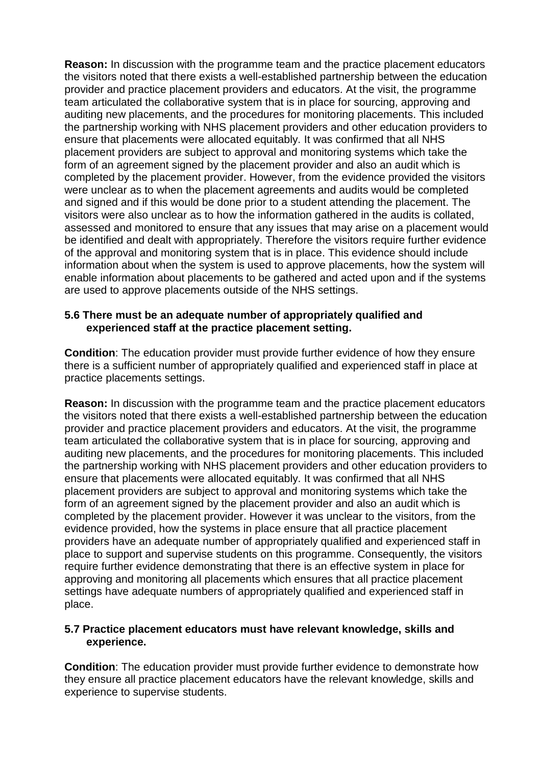**Reason:** In discussion with the programme team and the practice placement educators the visitors noted that there exists a well-established partnership between the education provider and practice placement providers and educators. At the visit, the programme team articulated the collaborative system that is in place for sourcing, approving and auditing new placements, and the procedures for monitoring placements. This included the partnership working with NHS placement providers and other education providers to ensure that placements were allocated equitably. It was confirmed that all NHS placement providers are subject to approval and monitoring systems which take the form of an agreement signed by the placement provider and also an audit which is completed by the placement provider. However, from the evidence provided the visitors were unclear as to when the placement agreements and audits would be completed and signed and if this would be done prior to a student attending the placement. The visitors were also unclear as to how the information gathered in the audits is collated, assessed and monitored to ensure that any issues that may arise on a placement would be identified and dealt with appropriately. Therefore the visitors require further evidence of the approval and monitoring system that is in place. This evidence should include information about when the system is used to approve placements, how the system will enable information about placements to be gathered and acted upon and if the systems are used to approve placements outside of the NHS settings.

#### **5.6 There must be an adequate number of appropriately qualified and experienced staff at the practice placement setting.**

**Condition**: The education provider must provide further evidence of how they ensure there is a sufficient number of appropriately qualified and experienced staff in place at practice placements settings.

**Reason:** In discussion with the programme team and the practice placement educators the visitors noted that there exists a well-established partnership between the education provider and practice placement providers and educators. At the visit, the programme team articulated the collaborative system that is in place for sourcing, approving and auditing new placements, and the procedures for monitoring placements. This included the partnership working with NHS placement providers and other education providers to ensure that placements were allocated equitably. It was confirmed that all NHS placement providers are subject to approval and monitoring systems which take the form of an agreement signed by the placement provider and also an audit which is completed by the placement provider. However it was unclear to the visitors, from the evidence provided, how the systems in place ensure that all practice placement providers have an adequate number of appropriately qualified and experienced staff in place to support and supervise students on this programme. Consequently, the visitors require further evidence demonstrating that there is an effective system in place for approving and monitoring all placements which ensures that all practice placement settings have adequate numbers of appropriately qualified and experienced staff in place.

#### **5.7 Practice placement educators must have relevant knowledge, skills and experience.**

**Condition**: The education provider must provide further evidence to demonstrate how they ensure all practice placement educators have the relevant knowledge, skills and experience to supervise students.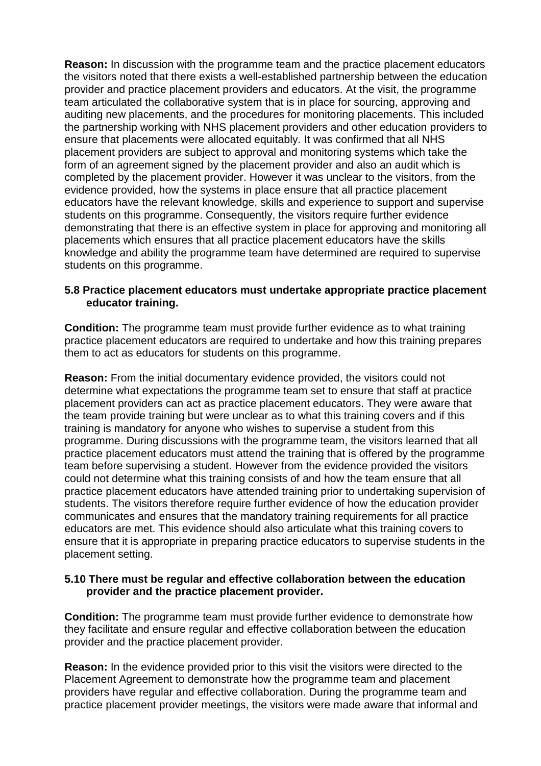**Reason:** In discussion with the programme team and the practice placement educators the visitors noted that there exists a well-established partnership between the education provider and practice placement providers and educators. At the visit, the programme team articulated the collaborative system that is in place for sourcing, approving and auditing new placements, and the procedures for monitoring placements. This included the partnership working with NHS placement providers and other education providers to ensure that placements were allocated equitably. It was confirmed that all NHS placement providers are subject to approval and monitoring systems which take the form of an agreement signed by the placement provider and also an audit which is completed by the placement provider. However it was unclear to the visitors, from the evidence provided, how the systems in place ensure that all practice placement educators have the relevant knowledge, skills and experience to support and supervise students on this programme. Consequently, the visitors require further evidence demonstrating that there is an effective system in place for approving and monitoring all placements which ensures that all practice placement educators have the skills knowledge and ability the programme team have determined are required to supervise students on this programme.

#### **5.8 Practice placement educators must undertake appropriate practice placement educator training.**

**Condition:** The programme team must provide further evidence as to what training practice placement educators are required to undertake and how this training prepares them to act as educators for students on this programme.

**Reason:** From the initial documentary evidence provided, the visitors could not determine what expectations the programme team set to ensure that staff at practice placement providers can act as practice placement educators. They were aware that the team provide training but were unclear as to what this training covers and if this training is mandatory for anyone who wishes to supervise a student from this programme. During discussions with the programme team, the visitors learned that all practice placement educators must attend the training that is offered by the programme team before supervising a student. However from the evidence provided the visitors could not determine what this training consists of and how the team ensure that all practice placement educators have attended training prior to undertaking supervision of students. The visitors therefore require further evidence of how the education provider communicates and ensures that the mandatory training requirements for all practice educators are met. This evidence should also articulate what this training covers to ensure that it is appropriate in preparing practice educators to supervise students in the placement setting.

#### **5.10 There must be regular and effective collaboration between the education provider and the practice placement provider.**

**Condition:** The programme team must provide further evidence to demonstrate how they facilitate and ensure regular and effective collaboration between the education provider and the practice placement provider.

**Reason:** In the evidence provided prior to this visit the visitors were directed to the Placement Agreement to demonstrate how the programme team and placement providers have regular and effective collaboration. During the programme team and practice placement provider meetings, the visitors were made aware that informal and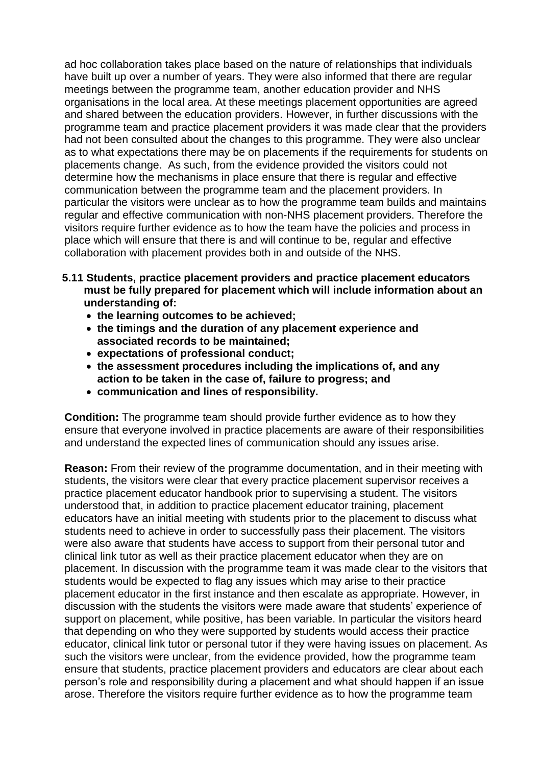ad hoc collaboration takes place based on the nature of relationships that individuals have built up over a number of years. They were also informed that there are regular meetings between the programme team, another education provider and NHS organisations in the local area. At these meetings placement opportunities are agreed and shared between the education providers. However, in further discussions with the programme team and practice placement providers it was made clear that the providers had not been consulted about the changes to this programme. They were also unclear as to what expectations there may be on placements if the requirements for students on placements change. As such, from the evidence provided the visitors could not determine how the mechanisms in place ensure that there is regular and effective communication between the programme team and the placement providers. In particular the visitors were unclear as to how the programme team builds and maintains regular and effective communication with non-NHS placement providers. Therefore the visitors require further evidence as to how the team have the policies and process in place which will ensure that there is and will continue to be, regular and effective collaboration with placement provides both in and outside of the NHS.

- **5.11 Students, practice placement providers and practice placement educators must be fully prepared for placement which will include information about an understanding of:** 
	- **the learning outcomes to be achieved;**
	- **the timings and the duration of any placement experience and associated records to be maintained;**
	- **expectations of professional conduct;**
	- **the assessment procedures including the implications of, and any action to be taken in the case of, failure to progress; and**
	- **communication and lines of responsibility.**

**Condition:** The programme team should provide further evidence as to how they ensure that everyone involved in practice placements are aware of their responsibilities and understand the expected lines of communication should any issues arise.

**Reason:** From their review of the programme documentation, and in their meeting with students, the visitors were clear that every practice placement supervisor receives a practice placement educator handbook prior to supervising a student. The visitors understood that, in addition to practice placement educator training, placement educators have an initial meeting with students prior to the placement to discuss what students need to achieve in order to successfully pass their placement. The visitors were also aware that students have access to support from their personal tutor and clinical link tutor as well as their practice placement educator when they are on placement. In discussion with the programme team it was made clear to the visitors that students would be expected to flag any issues which may arise to their practice placement educator in the first instance and then escalate as appropriate. However, in discussion with the students the visitors were made aware that students' experience of support on placement, while positive, has been variable. In particular the visitors heard that depending on who they were supported by students would access their practice educator, clinical link tutor or personal tutor if they were having issues on placement. As such the visitors were unclear, from the evidence provided, how the programme team ensure that students, practice placement providers and educators are clear about each person's role and responsibility during a placement and what should happen if an issue arose. Therefore the visitors require further evidence as to how the programme team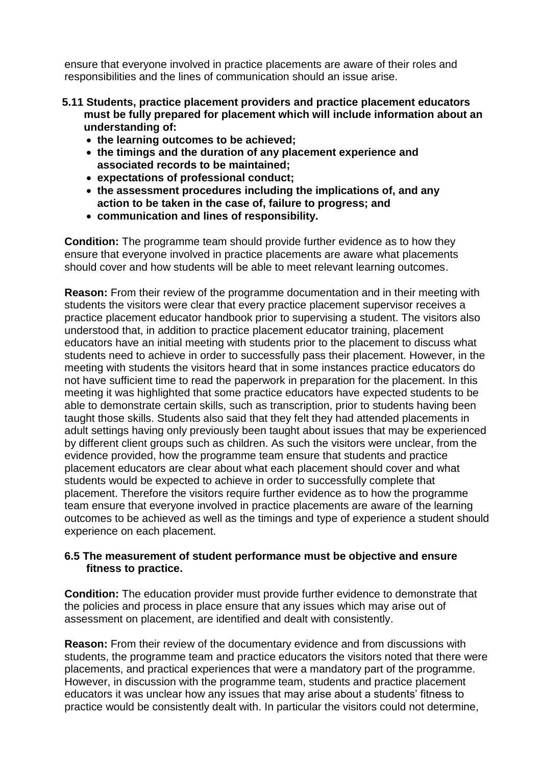ensure that everyone involved in practice placements are aware of their roles and responsibilities and the lines of communication should an issue arise.

- **5.11 Students, practice placement providers and practice placement educators must be fully prepared for placement which will include information about an understanding of:** 
	- **the learning outcomes to be achieved;**
	- **the timings and the duration of any placement experience and associated records to be maintained;**
	- **expectations of professional conduct;**
	- **the assessment procedures including the implications of, and any action to be taken in the case of, failure to progress; and**
	- **communication and lines of responsibility.**

**Condition:** The programme team should provide further evidence as to how they ensure that everyone involved in practice placements are aware what placements should cover and how students will be able to meet relevant learning outcomes.

**Reason:** From their review of the programme documentation and in their meeting with students the visitors were clear that every practice placement supervisor receives a practice placement educator handbook prior to supervising a student. The visitors also understood that, in addition to practice placement educator training, placement educators have an initial meeting with students prior to the placement to discuss what students need to achieve in order to successfully pass their placement. However, in the meeting with students the visitors heard that in some instances practice educators do not have sufficient time to read the paperwork in preparation for the placement. In this meeting it was highlighted that some practice educators have expected students to be able to demonstrate certain skills, such as transcription, prior to students having been taught those skills. Students also said that they felt they had attended placements in adult settings having only previously been taught about issues that may be experienced by different client groups such as children. As such the visitors were unclear, from the evidence provided, how the programme team ensure that students and practice placement educators are clear about what each placement should cover and what students would be expected to achieve in order to successfully complete that placement. Therefore the visitors require further evidence as to how the programme team ensure that everyone involved in practice placements are aware of the learning outcomes to be achieved as well as the timings and type of experience a student should experience on each placement.

#### **6.5 The measurement of student performance must be objective and ensure fitness to practice.**

**Condition:** The education provider must provide further evidence to demonstrate that the policies and process in place ensure that any issues which may arise out of assessment on placement, are identified and dealt with consistently.

**Reason:** From their review of the documentary evidence and from discussions with students, the programme team and practice educators the visitors noted that there were placements, and practical experiences that were a mandatory part of the programme. However, in discussion with the programme team, students and practice placement educators it was unclear how any issues that may arise about a students' fitness to practice would be consistently dealt with. In particular the visitors could not determine,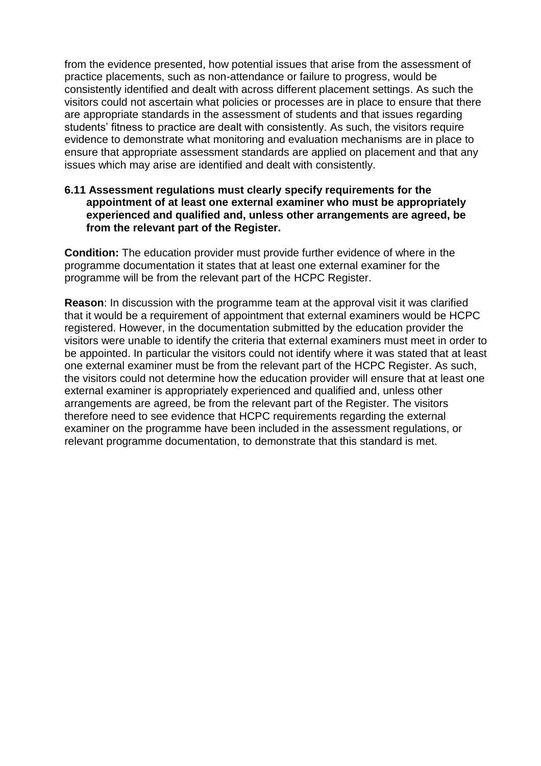from the evidence presented, how potential issues that arise from the assessment of practice placements, such as non-attendance or failure to progress, would be consistently identified and dealt with across different placement settings. As such the visitors could not ascertain what policies or processes are in place to ensure that there are appropriate standards in the assessment of students and that issues regarding students' fitness to practice are dealt with consistently. As such, the visitors require evidence to demonstrate what monitoring and evaluation mechanisms are in place to ensure that appropriate assessment standards are applied on placement and that any issues which may arise are identified and dealt with consistently.

#### **6.11 Assessment regulations must clearly specify requirements for the appointment of at least one external examiner who must be appropriately experienced and qualified and, unless other arrangements are agreed, be from the relevant part of the Register.**

**Condition:** The education provider must provide further evidence of where in the programme documentation it states that at least one external examiner for the programme will be from the relevant part of the HCPC Register.

**Reason**: In discussion with the programme team at the approval visit it was clarified that it would be a requirement of appointment that external examiners would be HCPC registered. However, in the documentation submitted by the education provider the visitors were unable to identify the criteria that external examiners must meet in order to be appointed. In particular the visitors could not identify where it was stated that at least one external examiner must be from the relevant part of the HCPC Register. As such, the visitors could not determine how the education provider will ensure that at least one external examiner is appropriately experienced and qualified and, unless other arrangements are agreed, be from the relevant part of the Register. The visitors therefore need to see evidence that HCPC requirements regarding the external examiner on the programme have been included in the assessment regulations, or relevant programme documentation, to demonstrate that this standard is met.